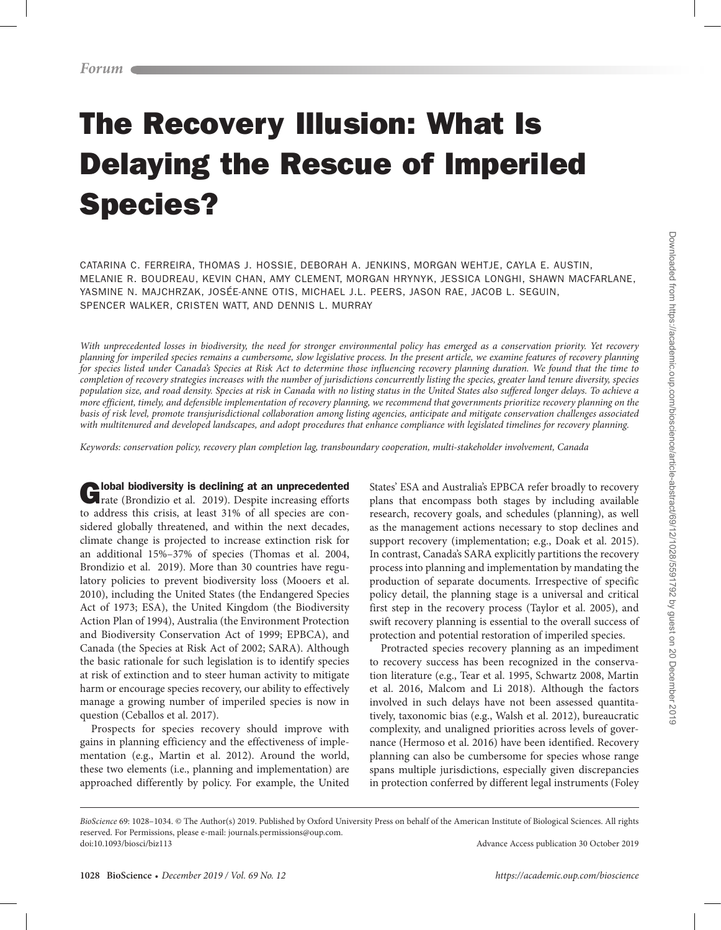# The Recovery Illusion: What Is Delaying the Rescue of Imperiled Species?

CATARINA C. FERREIRA, THOMAS J. HOSSIE, DEBORAH A. JENKINS, MORGAN WEHTJE, CAYLA E. AUSTIN, MELANIE R. BOUDREAU, KEVIN CHAN, AMY CLEMENT, MORGAN HRYNYK, JESSICA LONGHI, SHAWN MACFARLANE, YASMINE N. MAJCHRZAK, JOSÉE-ANNE OTIS, MICHAEL J.L. PEERS, JASON RAE, JACOB L. SEGUIN, SPENCER WALKER, CRISTEN WATT, AND DENNIS L. MURRAY

*With unprecedented losses in biodiversity, the need for stronger environmental policy has emerged as a conservation priority. Yet recovery planning for imperiled species remains a cumbersome, slow legislative process. In the present article, we examine features of recovery planning for species listed under Canada's Species at Risk Act to determine those influencing recovery planning duration. We found that the time to*  completion of recovery strategies increases with the number of jurisdictions concurrently listing the species, greater land tenure diversity, species *population size, and road density. Species at risk in Canada with no listing status in the United States also suffered longer delays. To achieve a more efficient, timely, and defensible implementation of recovery planning, we recommend that governments prioritize recovery planning on the basis of risk level, promote transjurisdictional collaboration among listing agencies, anticipate and mitigate conservation challenges associated with multitenured and developed landscapes, and adopt procedures that enhance compliance with legislated timelines for recovery planning.*

*Keywords: conservation policy, recovery plan completion lag, transboundary cooperation, multi-stakeholder involvement, Canada*

Clobal biodiversity is declining at an unprecedented rate (Brondizio et al. 2019). Despite increasing efforts to address this crisis, at least 31% of all species are considered globally threatened, and within the next decades, climate change is projected to increase extinction risk for an additional 15%–37% of species (Thomas et al. 2004, Brondizio et al. 2019). More than 30 countries have regulatory policies to prevent biodiversity loss (Mooers et al. 2010), including the United States (the Endangered Species Act of 1973; ESA), the United Kingdom (the Biodiversity Action Plan of 1994), Australia (the Environment Protection and Biodiversity Conservation Act of 1999; EPBCA), and Canada (the Species at Risk Act of 2002; SARA). Although the basic rationale for such legislation is to identify species at risk of extinction and to steer human activity to mitigate harm or encourage species recovery, our ability to effectively manage a growing number of imperiled species is now in question (Ceballos et al. 2017).

Prospects for species recovery should improve with gains in planning efficiency and the effectiveness of implementation (e.g., Martin et al. 2012). Around the world, these two elements (i.e., planning and implementation) are approached differently by policy. For example, the United States' ESA and Australia's EPBCA refer broadly to recovery plans that encompass both stages by including available research, recovery goals, and schedules (planning), as well as the management actions necessary to stop declines and support recovery (implementation; e.g., Doak et al. 2015). In contrast, Canada's SARA explicitly partitions the recovery process into planning and implementation by mandating the production of separate documents. Irrespective of specific policy detail, the planning stage is a universal and critical first step in the recovery process (Taylor et al. 2005), and swift recovery planning is essential to the overall success of protection and potential restoration of imperiled species.

Protracted species recovery planning as an impediment to recovery success has been recognized in the conservation literature (e.g., Tear et al. 1995, Schwartz 2008, Martin et al. 2016, Malcom and Li 2018). Although the factors involved in such delays have not been assessed quantitatively, taxonomic bias (e.g., Walsh et al. 2012), bureaucratic complexity, and unaligned priorities across levels of governance (Hermoso et al. 2016) have been identified. Recovery planning can also be cumbersome for species whose range spans multiple jurisdictions, especially given discrepancies in protection conferred by different legal instruments (Foley

*BioScience* 69: 1028–1034. © The Author(s) 2019. Published by Oxford University Press on behalf of the American Institute of Biological Sciences. All rights reserved. For Permissions, please e-mail: journals.permissions@oup.com. doi:10.1093/biosci/biz113 Advance Access publication 30 October 2019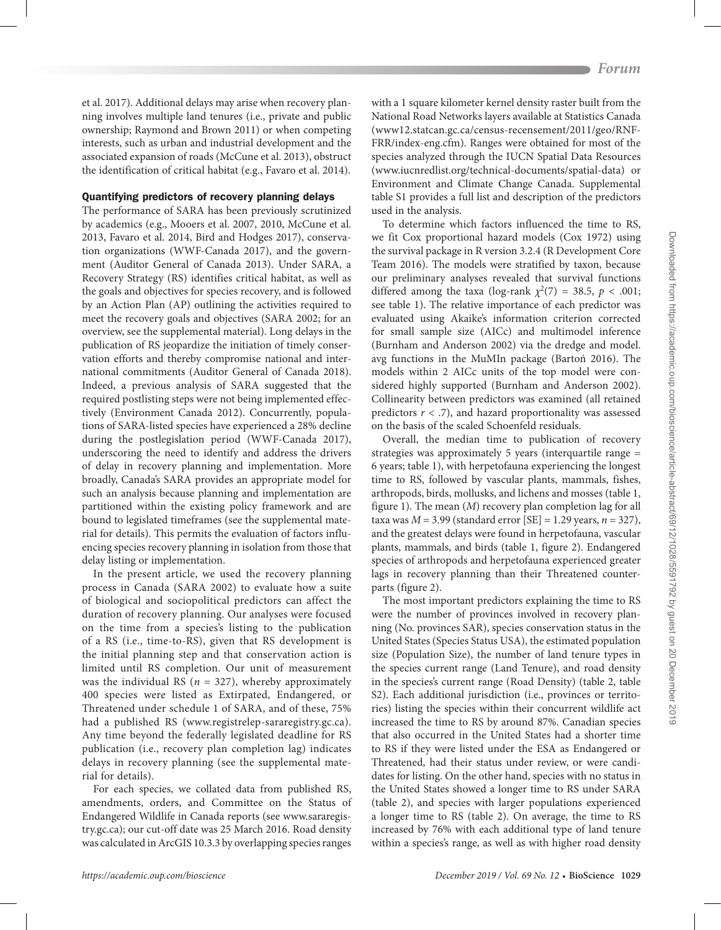et al. 2017). Additional delays may arise when recovery planning involves multiple land tenures (i.e., private and public ownership; Raymond and Brown 2011) or when competing interests, such as urban and industrial development and the associated expansion of roads (McCune et al. 2013), obstruct the identification of critical habitat (e.g., Favaro et al. 2014).

## Quantifying predictors of recovery planning delays

The performance of SARA has been previously scrutinized by academics (e.g., Mooers et al. 2007, 2010, McCune et al. 2013, Favaro et al. 2014, Bird and Hodges 2017), conservation organizations (WWF-Canada 2017), and the government (Auditor General of Canada 2013). Under SARA, a Recovery Strategy (RS) identifies critical habitat, as well as the goals and objectives for species recovery, and is followed by an Action Plan (AP) outlining the activities required to meet the recovery goals and objectives (SARA 2002; for an overview, see the supplemental material). Long delays in the publication of RS jeopardize the initiation of timely conservation efforts and thereby compromise national and international commitments (Auditor General of Canada 2018). Indeed, a previous analysis of SARA suggested that the required postlisting steps were not being implemented effectively (Environment Canada 2012). Concurrently, populations of SARA-listed species have experienced a 28% decline during the postlegislation period (WWF-Canada 2017), underscoring the need to identify and address the drivers of delay in recovery planning and implementation. More broadly, Canada's SARA provides an appropriate model for such an analysis because planning and implementation are partitioned within the existing policy framework and are bound to legislated timeframes (see the supplemental material for details). This permits the evaluation of factors influencing species recovery planning in isolation from those that delay listing or implementation.

In the present article, we used the recovery planning process in Canada (SARA 2002) to evaluate how a suite of biological and sociopolitical predictors can affect the duration of recovery planning. Our analyses were focused on the time from a species's listing to the publication of a RS (i.e., time-to-RS), given that RS development is the initial planning step and that conservation action is limited until RS completion. Our unit of measurement was the individual RS ( $n = 327$ ), whereby approximately 400 species were listed as Extirpated, Endangered, or Threatened under schedule 1 of SARA, and of these, 75% had a published RS (www.registrelep-sararegistry.gc.ca). Any time beyond the federally legislated deadline for RS publication (i.e., recovery plan completion lag) indicates delays in recovery planning (see the supplemental material for details).

For each species, we collated data from published RS, amendments, orders, and Committee on the Status of Endangered Wildlife in Canada reports (see www.sararegistry.gc.ca); our cut-off date was 25 March 2016. Road density was calculated in ArcGIS 10.3.3 by overlapping species ranges

with a 1 square kilometer kernel density raster built from the National Road Networks layers available at Statistics Canada ([www12.statcan.gc.ca/census-recensement/2011/geo/RNF-](http://www12.statcan.gc.ca/census-recensement/2011/geo/RNF-FRR/index-eng.cfm)[FRR/index-eng.cfm\)](http://www12.statcan.gc.ca/census-recensement/2011/geo/RNF-FRR/index-eng.cfm). Ranges were obtained for most of the species analyzed through the IUCN Spatial Data Resources (www.iucnredlist.org/technical-documents/spatial-data) or Environment and Climate Change Canada. Supplemental table S1 provides a full list and description of the predictors used in the analysis.

To determine which factors influenced the time to RS, we fit Cox proportional hazard models (Cox 1972) using the survival package in R version 3.2.4 (R Development Core Team 2016). The models were stratified by taxon, because our preliminary analyses revealed that survival functions differed among the taxa (log-rank  $\chi^2(7) = 38.5$ ,  $p < .001$ ; see table 1). The relative importance of each predictor was evaluated using Akaike's information criterion corrected for small sample size (AICc) and multimodel inference (Burnham and Anderson 2002) via the dredge and model. avg functions in the MuMIn package (Bartoń 2016). The models within 2 AICc units of the top model were considered highly supported (Burnham and Anderson 2002). Collinearity between predictors was examined (all retained predictors *r* < .7), and hazard proportionality was assessed on the basis of the scaled Schoenfeld residuals.

Overall, the median time to publication of recovery strategies was approximately 5 years (interquartile range = 6 years; table 1), with herpetofauna experiencing the longest time to RS, followed by vascular plants, mammals, fishes, arthropods, birds, mollusks, and lichens and mosses (table 1, figure 1). The mean (*M*) recovery plan completion lag for all taxa was *M* = 3.99 (standard error [SE] = 1.29 years, *n* = 327), and the greatest delays were found in herpetofauna, vascular plants, mammals, and birds (table 1, figure 2). Endangered species of arthropods and herpetofauna experienced greater lags in recovery planning than their Threatened counterparts (figure 2).

The most important predictors explaining the time to RS were the number of provinces involved in recovery planning (No. provinces SAR), species conservation status in the United States (Species Status USA), the estimated population size (Population Size), the number of land tenure types in the species current range (Land Tenure), and road density in the species's current range (Road Density) (table 2, table S2). Each additional jurisdiction (i.e., provinces or territories) listing the species within their concurrent wildlife act increased the time to RS by around 87%. Canadian species that also occurred in the United States had a shorter time to RS if they were listed under the ESA as Endangered or Threatened, had their status under review, or were candidates for listing. On the other hand, species with no status in the United States showed a longer time to RS under SARA (table 2), and species with larger populations experienced a longer time to RS (table 2). On average, the time to RS increased by 76% with each additional type of land tenure within a species's range, as well as with higher road density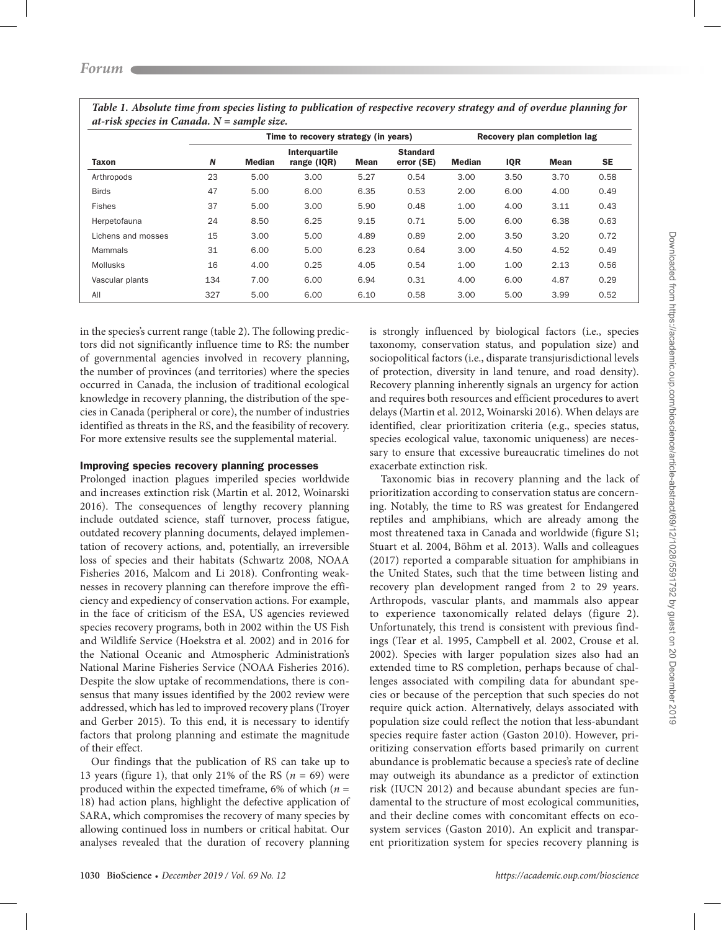| Taxon              |     | Time to recovery strategy (in years) |                                |      |                               | Recovery plan completion lag |            |             |      |
|--------------------|-----|--------------------------------------|--------------------------------|------|-------------------------------|------------------------------|------------|-------------|------|
|                    | N   | <b>Median</b>                        | Interguartile<br>range $(IQR)$ | Mean | <b>Standard</b><br>error (SE) | <b>Median</b>                | <b>IQR</b> | <b>Mean</b> | SE   |
| Arthropods         | 23  | 5.00                                 | 3.00                           | 5.27 | 0.54                          | 3.00                         | 3.50       | 3.70        | 0.58 |
| <b>Birds</b>       | 47  | 5.00                                 | 6.00                           | 6.35 | 0.53                          | 2.00                         | 6.00       | 4.00        | 0.49 |
| <b>Fishes</b>      | 37  | 5.00                                 | 3.00                           | 5.90 | 0.48                          | 1.00                         | 4.00       | 3.11        | 0.43 |
| Herpetofauna       | 24  | 8.50                                 | 6.25                           | 9.15 | 0.71                          | 5.00                         | 6.00       | 6.38        | 0.63 |
| Lichens and mosses | 15  | 3.00                                 | 5.00                           | 4.89 | 0.89                          | 2.00                         | 3.50       | 3.20        | 0.72 |
| Mammals            | 31  | 6.00                                 | 5.00                           | 6.23 | 0.64                          | 3.00                         | 4.50       | 4.52        | 0.49 |
| <b>Mollusks</b>    | 16  | 4.00                                 | 0.25                           | 4.05 | 0.54                          | 1.00                         | 1.00       | 2.13        | 0.56 |
| Vascular plants    | 134 | 7.00                                 | 6.00                           | 6.94 | 0.31                          | 4.00                         | 6.00       | 4.87        | 0.29 |
| All                | 327 | 5.00                                 | 6.00                           | 6.10 | 0.58                          | 3.00                         | 5.00       | 3.99        | 0.52 |

*Table 1. Absolute time from species listing to publication of respective recovery strategy and of overdue planning for at-risk species in Canada. N = sample size.*

in the species's current range (table 2). The following predictors did not significantly influence time to RS: the number of governmental agencies involved in recovery planning, the number of provinces (and territories) where the species occurred in Canada, the inclusion of traditional ecological knowledge in recovery planning, the distribution of the species in Canada (peripheral or core), the number of industries identified as threats in the RS, and the feasibility of recovery. For more extensive results see the supplemental material.

## Improving species recovery planning processes

Prolonged inaction plagues imperiled species worldwide and increases extinction risk (Martin et al. 2012, Woinarski 2016). The consequences of lengthy recovery planning include outdated science, staff turnover, process fatigue, outdated recovery planning documents, delayed implementation of recovery actions, and, potentially, an irreversible loss of species and their habitats (Schwartz 2008, NOAA Fisheries 2016, Malcom and Li 2018). Confronting weaknesses in recovery planning can therefore improve the efficiency and expediency of conservation actions. For example, in the face of criticism of the ESA, US agencies reviewed species recovery programs, both in 2002 within the US Fish and Wildlife Service (Hoekstra et al. 2002) and in 2016 for the National Oceanic and Atmospheric Administration's National Marine Fisheries Service (NOAA Fisheries 2016). Despite the slow uptake of recommendations, there is consensus that many issues identified by the 2002 review were addressed, which has led to improved recovery plans (Troyer and Gerber 2015). To this end, it is necessary to identify factors that prolong planning and estimate the magnitude of their effect.

Our findings that the publication of RS can take up to 13 years (figure 1), that only 21% of the RS  $(n = 69)$  were produced within the expected timeframe, 6% of which (*n* = 18) had action plans, highlight the defective application of SARA, which compromises the recovery of many species by allowing continued loss in numbers or critical habitat. Our analyses revealed that the duration of recovery planning

is strongly influenced by biological factors (i.e., species taxonomy, conservation status, and population size) and sociopolitical factors (i.e., disparate transjurisdictional levels of protection, diversity in land tenure, and road density). Recovery planning inherently signals an urgency for action and requires both resources and efficient procedures to avert delays (Martin et al. 2012, Woinarski 2016). When delays are identified, clear prioritization criteria (e.g., species status, species ecological value, taxonomic uniqueness) are necessary to ensure that excessive bureaucratic timelines do not exacerbate extinction risk.

Taxonomic bias in recovery planning and the lack of prioritization according to conservation status are concerning. Notably, the time to RS was greatest for Endangered reptiles and amphibians, which are already among the most threatened taxa in Canada and worldwide (figure S1; Stuart et al. 2004, Böhm et al. 2013). Walls and colleagues (2017) reported a comparable situation for amphibians in the United States, such that the time between listing and recovery plan development ranged from 2 to 29 years. Arthropods, vascular plants, and mammals also appear to experience taxonomically related delays (figure 2). Unfortunately, this trend is consistent with previous findings (Tear et al. 1995, Campbell et al. 2002, Crouse et al. 2002). Species with larger population sizes also had an extended time to RS completion, perhaps because of challenges associated with compiling data for abundant species or because of the perception that such species do not require quick action. Alternatively, delays associated with population size could reflect the notion that less-abundant species require faster action (Gaston 2010). However, prioritizing conservation efforts based primarily on current abundance is problematic because a species's rate of decline may outweigh its abundance as a predictor of extinction risk (IUCN 2012) and because abundant species are fundamental to the structure of most ecological communities, and their decline comes with concomitant effects on ecosystem services (Gaston 2010). An explicit and transparent prioritization system for species recovery planning is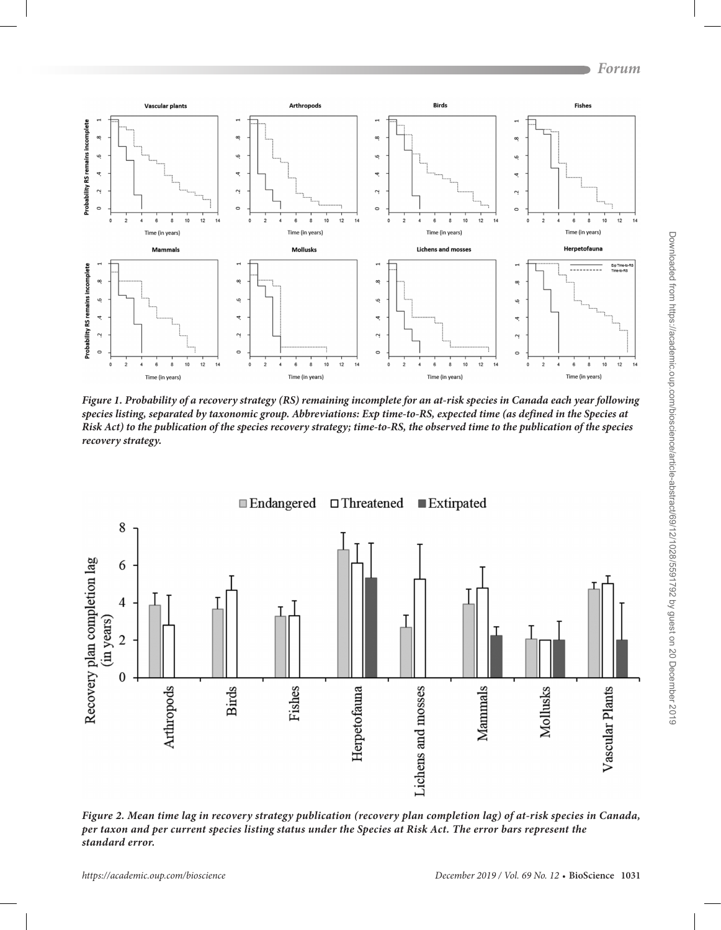

*Figure 1. Probability of a recovery strategy (RS) remaining incomplete for an at-risk species in Canada each year following species listing, separated by taxonomic group. Abbreviations: Exp time-to-RS, expected time (as defined in the Species at Risk Act) to the publication of the species recovery strategy; time-to-RS, the observed time to the publication of the species recovery strategy.*



*Figure 2. Mean time lag in recovery strategy publication (recovery plan completion lag) of at-risk species in Canada, per taxon and per current species listing status under the Species at Risk Act. The error bars represent the standard error.*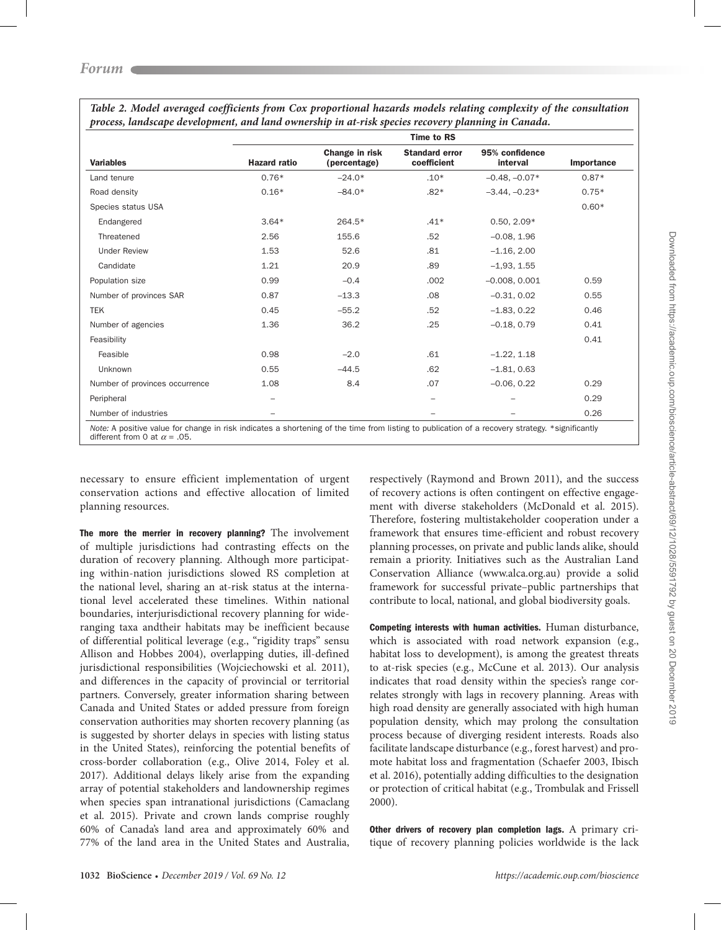|                                | <b>Time to RS</b>   |                                |                                      |                            |            |  |  |  |  |
|--------------------------------|---------------------|--------------------------------|--------------------------------------|----------------------------|------------|--|--|--|--|
| <b>Variables</b>               | <b>Hazard ratio</b> | Change in risk<br>(percentage) | <b>Standard error</b><br>coefficient | 95% confidence<br>interval | Importance |  |  |  |  |
| Land tenure                    | $0.76*$             | $-24.0*$                       | $.10*$                               | $-0.48, -0.07*$            | $0.87*$    |  |  |  |  |
| Road density                   | $0.16*$             | $-84.0*$                       | $.82*$                               | $-3.44, -0.23*$            | $0.75*$    |  |  |  |  |
| Species status USA             |                     |                                |                                      |                            | $0.60*$    |  |  |  |  |
| Endangered                     | $3.64*$             | 264.5*                         | $.41*$                               | $0.50, 2.09*$              |            |  |  |  |  |
| Threatened                     | 2.56                | 155.6                          | .52                                  | $-0.08, 1.96$              |            |  |  |  |  |
| <b>Under Review</b>            | 1.53                | 52.6                           | .81                                  | $-1.16, 2.00$              |            |  |  |  |  |
| Candidate                      | 1.21                | 20.9                           | .89                                  | $-1,93, 1.55$              |            |  |  |  |  |
| Population size                | 0.99                | $-0.4$                         | .002                                 | $-0.008, 0.001$            | 0.59       |  |  |  |  |
| Number of provinces SAR        | 0.87                | $-13.3$                        | .08                                  | $-0.31, 0.02$              | 0.55       |  |  |  |  |
| <b>TEK</b>                     | 0.45                | $-55.2$                        | .52                                  | $-1.83, 0.22$              | 0.46       |  |  |  |  |
| Number of agencies             | 1.36                | 36.2                           | .25                                  | $-0.18, 0.79$              | 0.41       |  |  |  |  |
| Feasibility                    |                     |                                |                                      |                            | 0.41       |  |  |  |  |
| Feasible                       | 0.98                | $-2.0$                         | .61                                  | $-1.22, 1.18$              |            |  |  |  |  |
| Unknown                        | 0.55                | $-44.5$                        | .62                                  | $-1.81, 0.63$              |            |  |  |  |  |
| Number of provinces occurrence | 1.08                | 8.4                            | .07                                  | $-0.06, 0.22$              | 0.29       |  |  |  |  |
| Peripheral                     |                     |                                |                                      |                            | 0.29       |  |  |  |  |
| Number of industries           |                     |                                |                                      |                            | 0.26       |  |  |  |  |

*Table 2. Model averaged coefficients from Cox proportional hazards models relating complexity of the consultation process, landscape development, and land ownership in at-risk species recovery planning in Canada.*

*Note:* A positive value for change in risk indicates a shortening of the time from listing to publication of a recovery strategy. \*significantly different from 0 at  $\alpha = .05$ .

necessary to ensure efficient implementation of urgent conservation actions and effective allocation of limited planning resources.

The more the merrier in recovery planning? The involvement of multiple jurisdictions had contrasting effects on the duration of recovery planning. Although more participating within-nation jurisdictions slowed RS completion at the national level, sharing an at-risk status at the international level accelerated these timelines. Within national boundaries, interjurisdictional recovery planning for wideranging taxa andtheir habitats may be inefficient because of differential political leverage (e.g., "rigidity traps" sensu Allison and Hobbes 2004), overlapping duties, ill-defined jurisdictional responsibilities (Wojciechowski et al. 2011), and differences in the capacity of provincial or territorial partners. Conversely, greater information sharing between Canada and United States or added pressure from foreign conservation authorities may shorten recovery planning (as is suggested by shorter delays in species with listing status in the United States), reinforcing the potential benefits of cross-border collaboration (e.g., Olive 2014, Foley et al. 2017). Additional delays likely arise from the expanding array of potential stakeholders and landownership regimes when species span intranational jurisdictions (Camaclang et al. 2015). Private and crown lands comprise roughly 60% of Canada's land area and approximately 60% and 77% of the land area in the United States and Australia,

respectively (Raymond and Brown 2011), and the success of recovery actions is often contingent on effective engagement with diverse stakeholders (McDonald et al. 2015). Therefore, fostering multistakeholder cooperation under a framework that ensures time-efficient and robust recovery planning processes, on private and public lands alike, should remain a priority. Initiatives such as the Australian Land Conservation Alliance (www.alca.org.au) provide a solid framework for successful private–public partnerships that contribute to local, national, and global biodiversity goals.

Competing interests with human activities. Human disturbance, which is associated with road network expansion (e.g., habitat loss to development), is among the greatest threats to at-risk species (e.g., McCune et al. 2013). Our analysis indicates that road density within the species's range correlates strongly with lags in recovery planning. Areas with high road density are generally associated with high human population density, which may prolong the consultation process because of diverging resident interests. Roads also facilitate landscape disturbance (e.g., forest harvest) and promote habitat loss and fragmentation (Schaefer 2003, Ibisch et al. 2016), potentially adding difficulties to the designation or protection of critical habitat (e.g., Trombulak and Frissell 2000).

Other drivers of recovery plan completion lags. A primary critique of recovery planning policies worldwide is the lack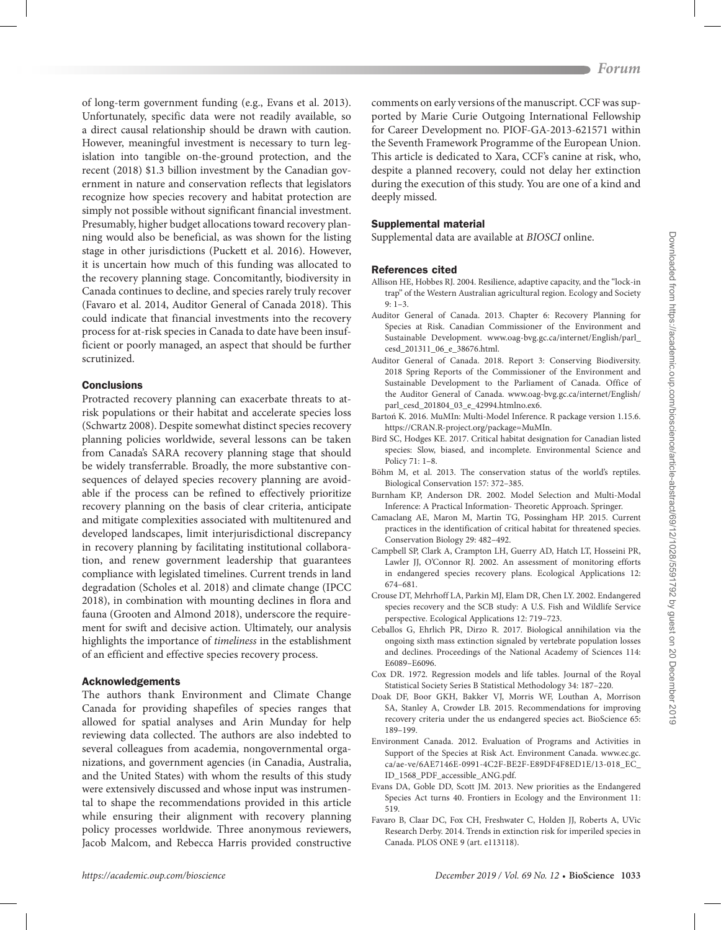of long-term government funding (e.g., Evans et al. 2013). Unfortunately, specific data were not readily available, so a direct causal relationship should be drawn with caution. However, meaningful investment is necessary to turn legislation into tangible on-the-ground protection, and the recent (2018) \$1.3 billion investment by the Canadian government in nature and conservation reflects that legislators recognize how species recovery and habitat protection are simply not possible without significant financial investment. Presumably, higher budget allocations toward recovery planning would also be beneficial, as was shown for the listing stage in other jurisdictions (Puckett et al. 2016). However, it is uncertain how much of this funding was allocated to the recovery planning stage. Concomitantly, biodiversity in Canada continues to decline, and species rarely truly recover (Favaro et al. 2014, Auditor General of Canada 2018). This could indicate that financial investments into the recovery process for at-risk species in Canada to date have been insufficient or poorly managed, an aspect that should be further scrutinized.

#### **Conclusions**

Protracted recovery planning can exacerbate threats to atrisk populations or their habitat and accelerate species loss (Schwartz 2008). Despite somewhat distinct species recovery planning policies worldwide, several lessons can be taken from Canada's SARA recovery planning stage that should be widely transferrable. Broadly, the more substantive consequences of delayed species recovery planning are avoidable if the process can be refined to effectively prioritize recovery planning on the basis of clear criteria, anticipate and mitigate complexities associated with multitenured and developed landscapes, limit interjurisdictional discrepancy in recovery planning by facilitating institutional collaboration, and renew government leadership that guarantees compliance with legislated timelines. Current trends in land degradation (Scholes et al. 2018) and climate change (IPCC 2018), in combination with mounting declines in flora and fauna (Grooten and Almond 2018), underscore the requirement for swift and decisive action. Ultimately, our analysis highlights the importance of *timeliness* in the establishment of an efficient and effective species recovery process.

### Acknowledgements

The authors thank Environment and Climate Change Canada for providing shapefiles of species ranges that allowed for spatial analyses and Arin Munday for help reviewing data collected. The authors are also indebted to several colleagues from academia, nongovernmental organizations, and government agencies (in Canadia, Australia, and the United States) with whom the results of this study were extensively discussed and whose input was instrumental to shape the recommendations provided in this article while ensuring their alignment with recovery planning policy processes worldwide. Three anonymous reviewers, Jacob Malcom, and Rebecca Harris provided constructive

comments on early versions of the manuscript. CCF was supported by Marie Curie Outgoing International Fellowship for Career Development no. PIOF-GA-2013-621571 within the Seventh Framework Programme of the European Union. This article is dedicated to Xara, CCF's canine at risk, who, despite a planned recovery, could not delay her extinction during the execution of this study. You are one of a kind and deeply missed.

# Supplemental material

Supplemental data are available at *[BIOSCI](https://academic.oup.com/bioscience/article-lookup/doi/10.1093/biosci/biz113#supplementary-data)* online.

# References cited

- Allison HE, Hobbes RJ. 2004. Resilience, adaptive capacity, and the "lock-in trap" of the Western Australian agricultural region. Ecology and Society 9: 1–3.
- Auditor General of Canada. 2013. Chapter 6: Recovery Planning for Species at Risk. Canadian Commissioner of the Environment and Sustainable Development. [www.oag-bvg.gc.ca/internet/English/parl\\_](http://www.oag-bvg.gc.ca/internet/English/parl_cesd_201311_06_e_38676.html) [cesd\\_201311\\_06\\_e\\_38676.html.](http://www.oag-bvg.gc.ca/internet/English/parl_cesd_201311_06_e_38676.html)
- Auditor General of Canada. 2018. Report 3: Conserving Biodiversity. 2018 Spring Reports of the Commissioner of the Environment and Sustainable Development to the Parliament of Canada. Office of the Auditor General of Canada. [www.oag-bvg.gc.ca/internet/English/](http://www.oag-bvg.gc.ca/internet/English/parl_cesd_201804_03_e_42994.htmlno.ex6) [parl\\_cesd\\_201804\\_03\\_e\\_42994.htmlno.ex6.](http://www.oag-bvg.gc.ca/internet/English/parl_cesd_201804_03_e_42994.htmlno.ex6)
- Bartoń K. 2016. MuMIn: Multi-Model Inference. R package version 1.15.6. https://CRAN.R-project.org/package=MuMIn.
- Bird SC, Hodges KE. 2017. Critical habitat designation for Canadian listed species: Slow, biased, and incomplete. Environmental Science and Policy 71: 1–8.
- Böhm M, et al. 2013. The conservation status of the world's reptiles. Biological Conservation 157: 372–385.
- Burnham KP, Anderson DR. 2002. Model Selection and Multi-Modal Inference: A Practical Information- Theoretic Approach. Springer.
- Camaclang AE, Maron M, Martin TG, Possingham HP. 2015. Current practices in the identification of critical habitat for threatened species. Conservation Biology 29: 482–492.
- Campbell SP, Clark A, Crampton LH, Guerry AD, Hatch LT, Hosseini PR, Lawler JJ, O'Connor RJ. 2002. An assessment of monitoring efforts in endangered species recovery plans. Ecological Applications 12: 674–681.
- Crouse DT, Mehrhoff LA, Parkin MJ, Elam DR, Chen LY. 2002. Endangered species recovery and the SCB study: A U.S. Fish and Wildlife Service perspective. Ecological Applications 12: 719–723.
- Ceballos G, Ehrlich PR, Dirzo R. 2017. Biological annihilation via the ongoing sixth mass extinction signaled by vertebrate population losses and declines. Proceedings of the National Academy of Sciences 114: E6089–E6096.
- Cox DR. 1972. Regression models and life tables. Journal of the Royal Statistical Society Series B Statistical Methodology 34: 187–220.
- Doak DF, Boor GKH, Bakker VJ, Morris WF, Louthan A, Morrison SA, Stanley A, Crowder LB. 2015. Recommendations for improving recovery criteria under the us endangered species act. BioScience 65: 189–199.
- Environment Canada. 2012. Evaluation of Programs and Activities in Support of the Species at Risk Act. Environment Canada. [www.ec.gc.](http://www.ec.gc.ca/ae-ve/6AE7146E-0991-4C2F-BE2F-E89DF4F8ED1E/13-018_EC_ID_1568_PDF_accessible_ANG.pdf) [ca/ae-ve/6AE7146E-0991-4C2F-BE2F-E89DF4F8ED1E/13-018\\_EC\\_](http://www.ec.gc.ca/ae-ve/6AE7146E-0991-4C2F-BE2F-E89DF4F8ED1E/13-018_EC_ID_1568_PDF_accessible_ANG.pdf) [ID\\_1568\\_PDF\\_accessible\\_ANG.pdf.](http://www.ec.gc.ca/ae-ve/6AE7146E-0991-4C2F-BE2F-E89DF4F8ED1E/13-018_EC_ID_1568_PDF_accessible_ANG.pdf)
- Evans DA, Goble DD, Scott JM. 2013. New priorities as the Endangered Species Act turns 40. Frontiers in Ecology and the Environment 11: 519.
- Favaro B, Claar DC, Fox CH, Freshwater C, Holden JJ, Roberts A, UVic Research Derby. 2014. Trends in extinction risk for imperiled species in Canada. PLOS ONE 9 (art. e113118).